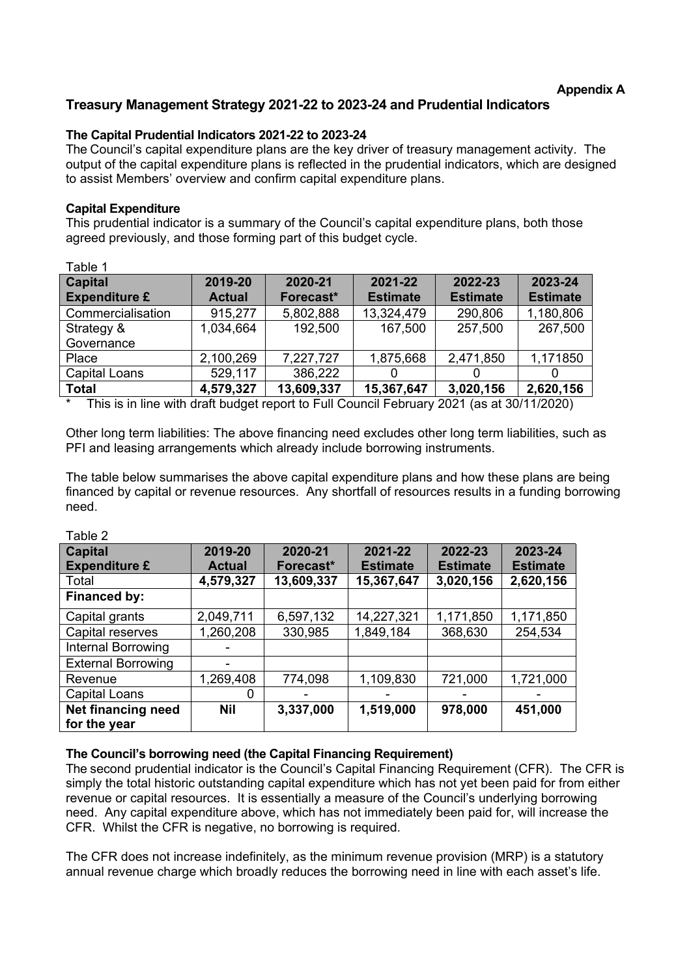# **Treasury Management Strategy 2021-22 to 2023-24 and Prudential Indicators**

## **The Capital Prudential Indicators 2021-22 to 2023-24**

The Council's capital expenditure plans are the key driver of treasury management activity. The output of the capital expenditure plans is reflected in the prudential indicators, which are designed to assist Members' overview and confirm capital expenditure plans.

## **Capital Expenditure**

This prudential indicator is a summary of the Council's capital expenditure plans, both those agreed previously, and those forming part of this budget cycle.

| Table 1                                |                          |                      |                            |                            |                            |
|----------------------------------------|--------------------------|----------------------|----------------------------|----------------------------|----------------------------|
| <b>Capital</b><br><b>Expenditure £</b> | 2019-20<br><b>Actual</b> | 2020-21<br>Forecast* | 2021-22<br><b>Estimate</b> | 2022-23<br><b>Estimate</b> | 2023-24<br><b>Estimate</b> |
| Commercialisation                      | 915,277                  | 5,802,888            | 13,324,479                 | 290,806                    | 1,180,806                  |
| Strategy &                             | 1,034,664                | 192,500              | 167,500                    | 257,500                    | 267,500                    |
| Governance                             |                          |                      |                            |                            |                            |
| Place                                  | 2,100,269                | 7,227,727            | 1,875,668                  | 2,471,850                  | 1,171850                   |
| Capital Loans                          | 529,117                  | 386,222              | 0                          | 0                          |                            |
| <b>Total</b>                           | 4,579,327                | 13,609,337           | 15,367,647                 | 3,020,156                  | 2,620,156                  |

This is in line with draft budget report to Full Council February 2021 (as at 30/11/2020)

Other long term liabilities: The above financing need excludes other long term liabilities, such as PFI and leasing arrangements which already include borrowing instruments.

The table below summarises the above capital expenditure plans and how these plans are being financed by capital or revenue resources. Any shortfall of resources results in a funding borrowing need.

Table 2

| <b>Capital</b><br><b>Expenditure £</b>    | 2019-20<br><b>Actual</b> | 2020-21<br>Forecast* | 2021-22<br><b>Estimate</b> | 2022-23<br><b>Estimate</b> | 2023-24<br><b>Estimate</b> |
|-------------------------------------------|--------------------------|----------------------|----------------------------|----------------------------|----------------------------|
| Total                                     | 4,579,327                | 13,609,337           | 15,367,647                 | 3,020,156                  | 2,620,156                  |
| Financed by:                              |                          |                      |                            |                            |                            |
| Capital grants                            | 2,049,711                | 6,597,132            | 14,227,321                 | 1,171,850                  | 1,171,850                  |
| Capital reserves                          | 1,260,208                | 330,985              | 1,849,184                  | 368,630                    | 254,534                    |
| Internal Borrowing                        |                          |                      |                            |                            |                            |
| <b>External Borrowing</b>                 |                          |                      |                            |                            |                            |
| Revenue                                   | 1,269,408                | 774,098              | 1,109,830                  | 721,000                    | 1,721,000                  |
| <b>Capital Loans</b>                      | 0                        |                      |                            |                            |                            |
| <b>Net financing need</b><br>for the year | <b>Nil</b>               | 3,337,000            | 1,519,000                  | 978,000                    | 451,000                    |

## **The Council's borrowing need (the Capital Financing Requirement)**

The second prudential indicator is the Council's Capital Financing Requirement (CFR). The CFR is simply the total historic outstanding capital expenditure which has not yet been paid for from either revenue or capital resources. It is essentially a measure of the Council's underlying borrowing need. Any capital expenditure above, which has not immediately been paid for, will increase the CFR. Whilst the CFR is negative, no borrowing is required.

The CFR does not increase indefinitely, as the minimum revenue provision (MRP) is a statutory annual revenue charge which broadly reduces the borrowing need in line with each asset's life.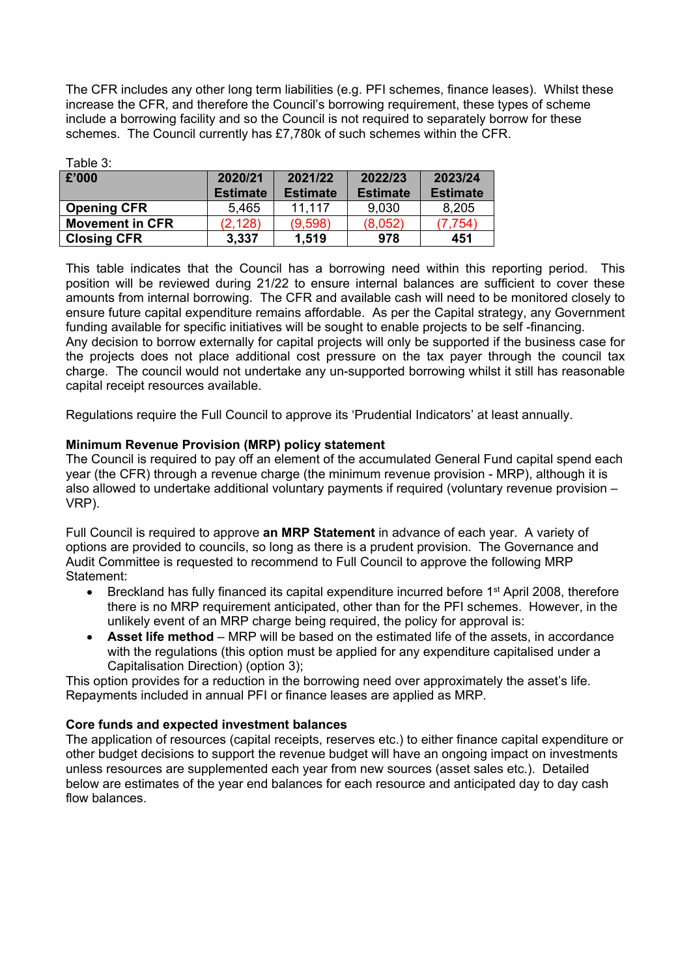The CFR includes any other long term liabilities (e.g. PFI schemes, finance leases). Whilst these increase the CFR, and therefore the Council's borrowing requirement, these types of scheme include a borrowing facility and so the Council is not required to separately borrow for these schemes. The Council currently has £7,780k of such schemes within the CFR.

| Table 3:               |                 |                 |                 |                 |  |
|------------------------|-----------------|-----------------|-----------------|-----------------|--|
| £'000                  | 2020/21         | 2021/22         | 2022/23         | 2023/24         |  |
|                        | <b>Estimate</b> | <b>Estimate</b> | <b>Estimate</b> | <b>Estimate</b> |  |
| <b>Opening CFR</b>     | 5,465           | 11.117          | 9,030           | 8,205           |  |
| <b>Movement in CFR</b> | (2, 128)        | (9,598)         | (8,052)         | (7, 754)        |  |
| <b>Closing CFR</b>     | 3,337           | 1,519           | 978             | 451             |  |

This table indicates that the Council has a borrowing need within this reporting period. This position will be reviewed during 21/22 to ensure internal balances are sufficient to cover these amounts from internal borrowing. The CFR and available cash will need to be monitored closely to ensure future capital expenditure remains affordable. As per the Capital strategy, any Government funding available for specific initiatives will be sought to enable projects to be self -financing. Any decision to borrow externally for capital projects will only be supported if the business case for the projects does not place additional cost pressure on the tax payer through the council tax charge. The council would not undertake any un-supported borrowing whilst it still has reasonable capital receipt resources available.

Regulations require the Full Council to approve its 'Prudential Indicators' at least annually.

### **Minimum Revenue Provision (MRP) policy statement**

The Council is required to pay off an element of the accumulated General Fund capital spend each year (the CFR) through a revenue charge (the minimum revenue provision - MRP), although it is also allowed to undertake additional voluntary payments if required (voluntary revenue provision – VRP).

Full Council is required to approve **an MRP Statement** in advance of each year. A variety of options are provided to councils, so long as there is a prudent provision. The Governance and Audit Committee is requested to recommend to Full Council to approve the following MRP Statement:

- Breckland has fully financed its capital expenditure incurred before 1<sup>st</sup> April 2008, therefore there is no MRP requirement anticipated, other than for the PFI schemes. However, in the unlikely event of an MRP charge being required, the policy for approval is:
- **Asset life method** MRP will be based on the estimated life of the assets, in accordance with the regulations (this option must be applied for any expenditure capitalised under a Capitalisation Direction) (option 3);

This option provides for a reduction in the borrowing need over approximately the asset's life. Repayments included in annual PFI or finance leases are applied as MRP.

## **Core funds and expected investment balances**

The application of resources (capital receipts, reserves etc.) to either finance capital expenditure or other budget decisions to support the revenue budget will have an ongoing impact on investments unless resources are supplemented each year from new sources (asset sales etc.). Detailed below are estimates of the year end balances for each resource and anticipated day to day cash flow balances.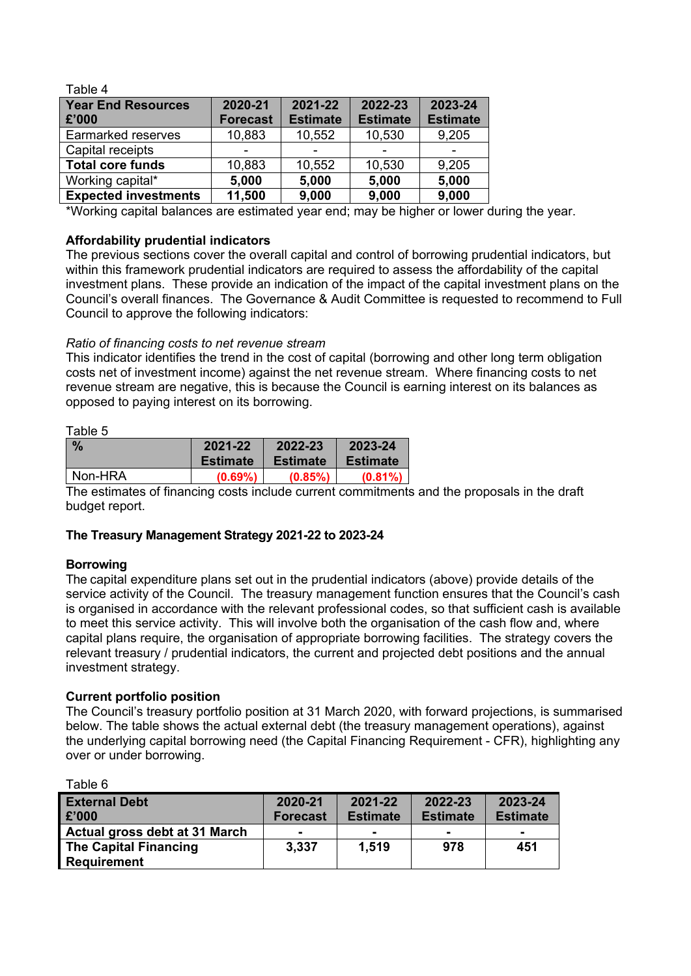| Table 4                     |                          |                 |                 |                 |
|-----------------------------|--------------------------|-----------------|-----------------|-----------------|
| <b>Year End Resources</b>   | 2020-21                  | 2021-22         | 2022-23         | 2023-24         |
| £'000                       | <b>Forecast</b>          | <b>Estimate</b> | <b>Estimate</b> | <b>Estimate</b> |
| Earmarked reserves          | 10,883                   | 10,552          | 10,530          | 9,205           |
| Capital receipts            | $\overline{\phantom{0}}$ |                 |                 |                 |
| <b>Total core funds</b>     | 10,883                   | 10,552          | 10,530          | 9,205           |
| Working capital*            | 5,000                    | 5,000           | 5,000           | 5,000           |
| <b>Expected investments</b> | 11,500                   | 9,000           | 9,000           | 9,000           |

\*Working capital balances are estimated year end; may be higher or lower during the year.

## **Affordability prudential indicators**

The previous sections cover the overall capital and control of borrowing prudential indicators, but within this framework prudential indicators are required to assess the affordability of the capital investment plans. These provide an indication of the impact of the capital investment plans on the Council's overall finances. The Governance & Audit Committee is requested to recommend to Full Council to approve the following indicators:

## *Ratio of financing costs to net revenue stream*

This indicator identifies the trend in the cost of capital (borrowing and other long term obligation costs net of investment income) against the net revenue stream. Where financing costs to net revenue stream are negative, this is because the Council is earning interest on its balances as opposed to paying interest on its borrowing.

#### Table 5

| $\frac{9}{6}$ | 2021-22         | 2022-23         | 2023-24    |
|---------------|-----------------|-----------------|------------|
|               | <b>Estimate</b> | <b>Estimate</b> | Estimate   |
| Non-HRA       | $(0.69\%)$      | $(0.85\%)$      | $(0.81\%)$ |

The estimates of financing costs include current commitments and the proposals in the draft budget report.

## **The Treasury Management Strategy 2021-22 to 2023-24**

### **Borrowing**

Table 6

The capital expenditure plans set out in the prudential indicators (above) provide details of the service activity of the Council. The treasury management function ensures that the Council's cash is organised in accordance with the relevant professional codes, so that sufficient cash is available to meet this service activity. This will involve both the organisation of the cash flow and, where capital plans require, the organisation of appropriate borrowing facilities. The strategy covers the relevant treasury / prudential indicators, the current and projected debt positions and the annual investment strategy.

### **Current portfolio position**

The Council's treasury portfolio position at 31 March 2020, with forward projections, is summarised below. The table shows the actual external debt (the treasury management operations), against the underlying capital borrowing need (the Capital Financing Requirement - CFR), highlighting any over or under borrowing.

| <b>External Debt</b>          | 2020-21         | 2021-22         | 2022-23         | 2023-24         |
|-------------------------------|-----------------|-----------------|-----------------|-----------------|
| £'000                         | <b>Forecast</b> | <b>Estimate</b> | <b>Estimate</b> | <b>Estimate</b> |
| Actual gross debt at 31 March | $\blacksquare$  |                 | $\blacksquare$  | -               |
| <b>The Capital Financing</b>  | 3,337           | 1.519           | 978             | 451             |
| <b>Requirement</b>            |                 |                 |                 |                 |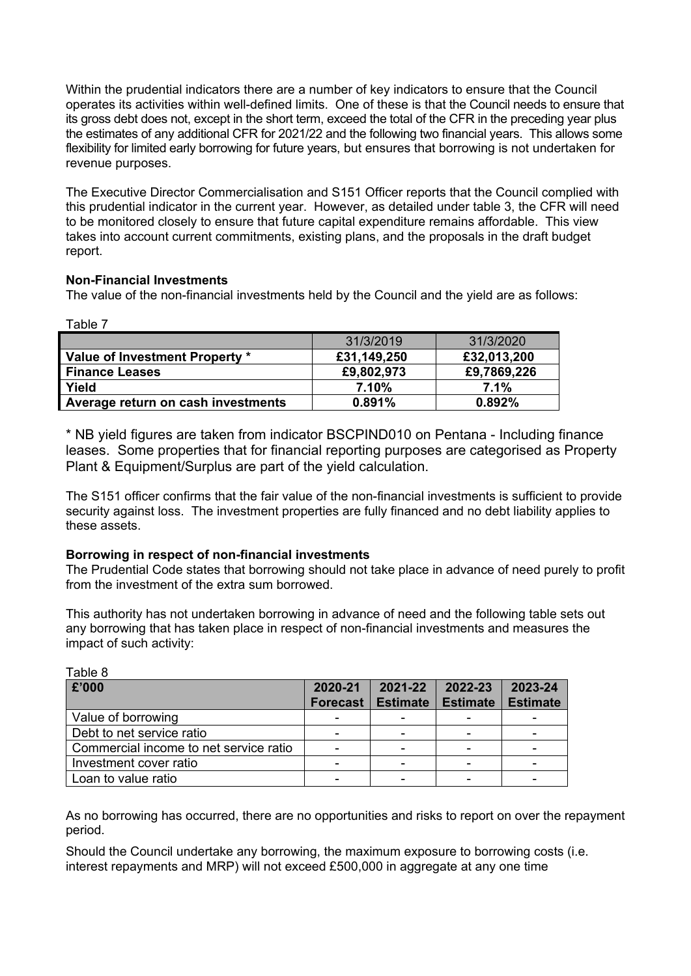Within the prudential indicators there are a number of key indicators to ensure that the Council operates its activities within well-defined limits. One of these is that the Council needs to ensure that its gross debt does not, except in the short term, exceed the total of the CFR in the preceding year plus the estimates of any additional CFR for 2021/22 and the following two financial years. This allows some flexibility for limited early borrowing for future years, but ensures that borrowing is not undertaken for revenue purposes.

The Executive Director Commercialisation and S151 Officer reports that the Council complied with this prudential indicator in the current year. However, as detailed under table 3, the CFR will need to be monitored closely to ensure that future capital expenditure remains affordable. This view takes into account current commitments, existing plans, and the proposals in the draft budget report.

## **Non-Financial Investments**

The value of the non-financial investments held by the Council and the yield are as follows:

Table 7

Table 8

|                                    | 31/3/2019   | 31/3/2020   |
|------------------------------------|-------------|-------------|
| Value of Investment Property *     | £31,149,250 | £32,013,200 |
| <b>Finance Leases</b>              | £9,802,973  | £9,7869,226 |
| Yield                              | 7.10%       | 7.1%        |
| Average return on cash investments | 0.891%      | 0.892%      |

\* NB yield figures are taken from indicator BSCPIND010 on Pentana - Including finance leases. Some properties that for financial reporting purposes are categorised as Property Plant & Equipment/Surplus are part of the yield calculation.

The S151 officer confirms that the fair value of the non-financial investments is sufficient to provide security against loss. The investment properties are fully financed and no debt liability applies to these assets.

## **Borrowing in respect of non-financial investments**

The Prudential Code states that borrowing should not take place in advance of need purely to profit from the investment of the extra sum borrowed.

This authority has not undertaken borrowing in advance of need and the following table sets out any borrowing that has taken place in respect of non-financial investments and measures the impact of such activity:

| £'000                                  | 2020-21<br><b>Forecast</b> | 2021-22<br><b>Estimate</b> | 2022-23<br><b>Estimate</b> | 2023-24<br><b>Estimate</b> |
|----------------------------------------|----------------------------|----------------------------|----------------------------|----------------------------|
| Value of borrowing                     |                            |                            |                            |                            |
| Debt to net service ratio              |                            |                            |                            |                            |
| Commercial income to net service ratio |                            |                            |                            |                            |
| Investment cover ratio                 | $\overline{\phantom{0}}$   |                            |                            |                            |
| Loan to value ratio                    | $\overline{\phantom{0}}$   |                            |                            |                            |

As no borrowing has occurred, there are no opportunities and risks to report on over the repayment period.

Should the Council undertake any borrowing, the maximum exposure to borrowing costs (i.e. interest repayments and MRP) will not exceed £500,000 in aggregate at any one time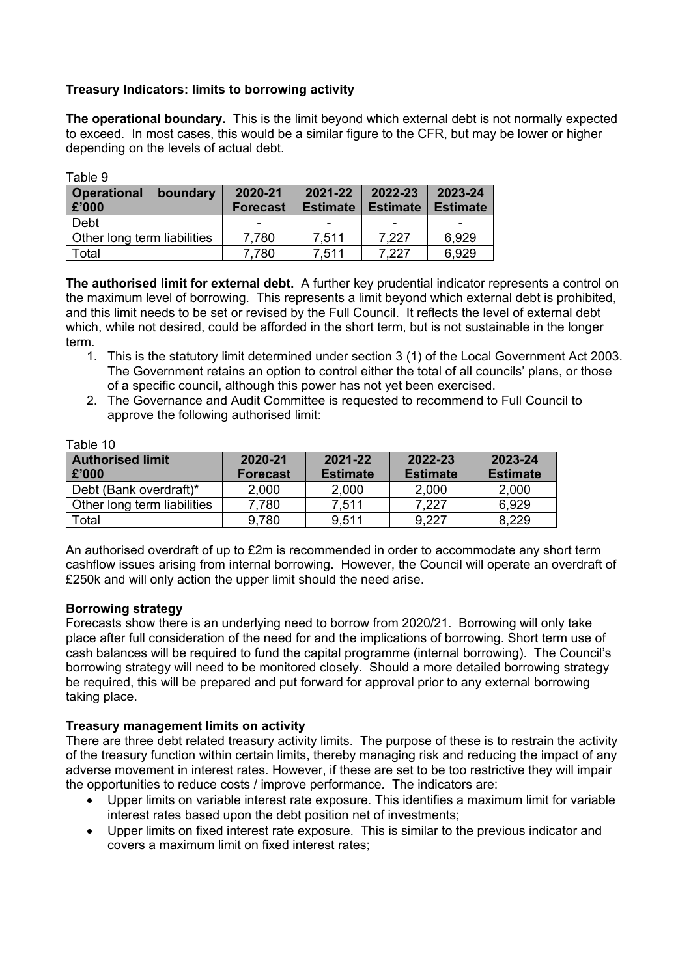## **Treasury Indicators: limits to borrowing activity**

**The operational boundary.** This is the limit beyond which external debt is not normally expected to exceed. In most cases, this would be a similar figure to the CFR, but may be lower or higher depending on the levels of actual debt.

| i abie p                                |                            |                            |                            |                            |
|-----------------------------------------|----------------------------|----------------------------|----------------------------|----------------------------|
| <b>Operational</b><br>boundary<br>£'000 | 2020-21<br><b>Forecast</b> | 2021-22<br><b>Estimate</b> | 2022-23<br><b>Estimate</b> | 2023-24<br><b>Estimate</b> |
| Debt                                    | -                          | -                          | -                          |                            |
| Other long term liabilities             | 7,780                      | 7.511                      | 7.227                      | 6.929                      |
| Total                                   | 7,780                      | 7,511                      | 7.227                      | 6,929                      |

**The authorised limit for external debt.** A further key prudential indicator represents a control on the maximum level of borrowing. This represents a limit beyond which external debt is prohibited, and this limit needs to be set or revised by the Full Council. It reflects the level of external debt which, while not desired, could be afforded in the short term, but is not sustainable in the longer term.

- 1. This is the statutory limit determined under section 3 (1) of the Local Government Act 2003. The Government retains an option to control either the total of all councils' plans, or those of a specific council, although this power has not yet been exercised.
- 2. The Governance and Audit Committee is requested to recommend to Full Council to approve the following authorised limit:

| Table TU                    |                 |                 |                 |                 |
|-----------------------------|-----------------|-----------------|-----------------|-----------------|
| <b>Authorised limit</b>     | 2020-21         | 2021-22         | 2022-23         | 2023-24         |
| £'000                       | <b>Forecast</b> | <b>Estimate</b> | <b>Estimate</b> | <b>Estimate</b> |
| Debt (Bank overdraft)*      | 2,000           | 2,000           | 2,000           | 2,000           |
| Other long term liabilities | 7.780           | 7.511           | 7.227           | 6.929           |
| Total                       | 9,780           | 9.511           | 9.227           | 8,229           |

Table 10

 $T$ skland

An authorised overdraft of up to £2m is recommended in order to accommodate any short term cashflow issues arising from internal borrowing. However, the Council will operate an overdraft of £250k and will only action the upper limit should the need arise.

### **Borrowing strategy**

Forecasts show there is an underlying need to borrow from 2020/21. Borrowing will only take place after full consideration of the need for and the implications of borrowing. Short term use of cash balances will be required to fund the capital programme (internal borrowing). The Council's borrowing strategy will need to be monitored closely. Should a more detailed borrowing strategy be required, this will be prepared and put forward for approval prior to any external borrowing taking place.

### **Treasury management limits on activity**

There are three debt related treasury activity limits. The purpose of these is to restrain the activity of the treasury function within certain limits, thereby managing risk and reducing the impact of any adverse movement in interest rates. However, if these are set to be too restrictive they will impair the opportunities to reduce costs / improve performance*.* The indicators are:

- Upper limits on variable interest rate exposure. This identifies a maximum limit for variable interest rates based upon the debt position net of investments;
- Upper limits on fixed interest rate exposure. This is similar to the previous indicator and covers a maximum limit on fixed interest rates;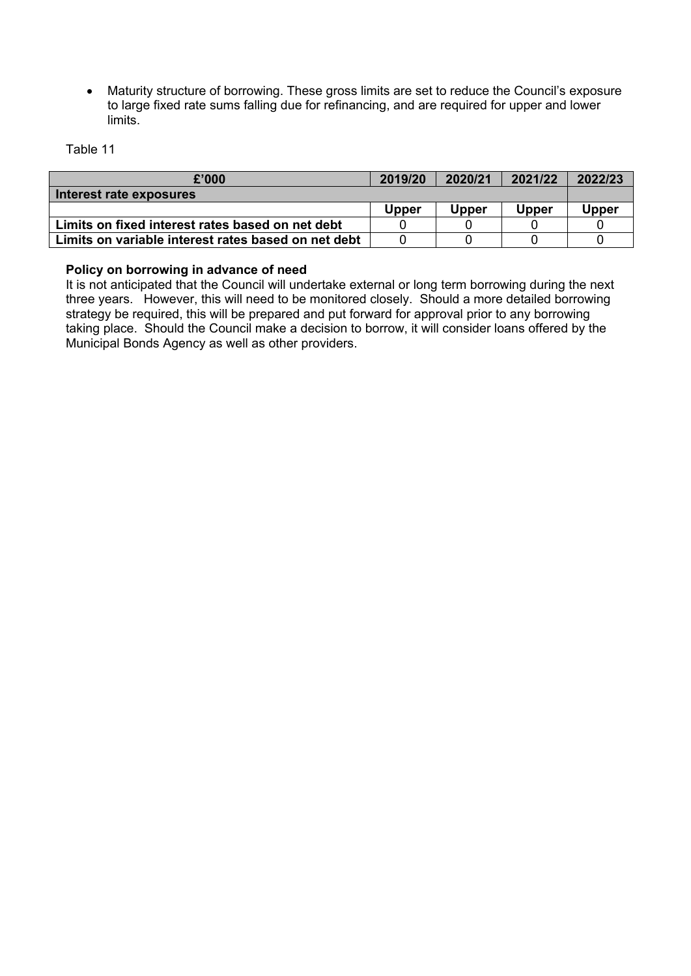Maturity structure of borrowing. These gross limits are set to reduce the Council's exposure to large fixed rate sums falling due for refinancing, and are required for upper and lower limits.

Table 11

| £'000                                               | 2019/20 | 2020/21 | 2021/22 | 2022/23      |  |  |  |  |
|-----------------------------------------------------|---------|---------|---------|--------------|--|--|--|--|
| Interest rate exposures                             |         |         |         |              |  |  |  |  |
|                                                     | Upper   | Upper   | Upper   | <b>Upper</b> |  |  |  |  |
| Limits on fixed interest rates based on net debt    |         |         |         |              |  |  |  |  |
| Limits on variable interest rates based on net debt |         |         |         |              |  |  |  |  |

### **Policy on borrowing in advance of need**

It is not anticipated that the Council will undertake external or long term borrowing during the next three years. However, this will need to be monitored closely. Should a more detailed borrowing strategy be required, this will be prepared and put forward for approval prior to any borrowing taking place. Should the Council make a decision to borrow, it will consider loans offered by the Municipal Bonds Agency as well as other providers.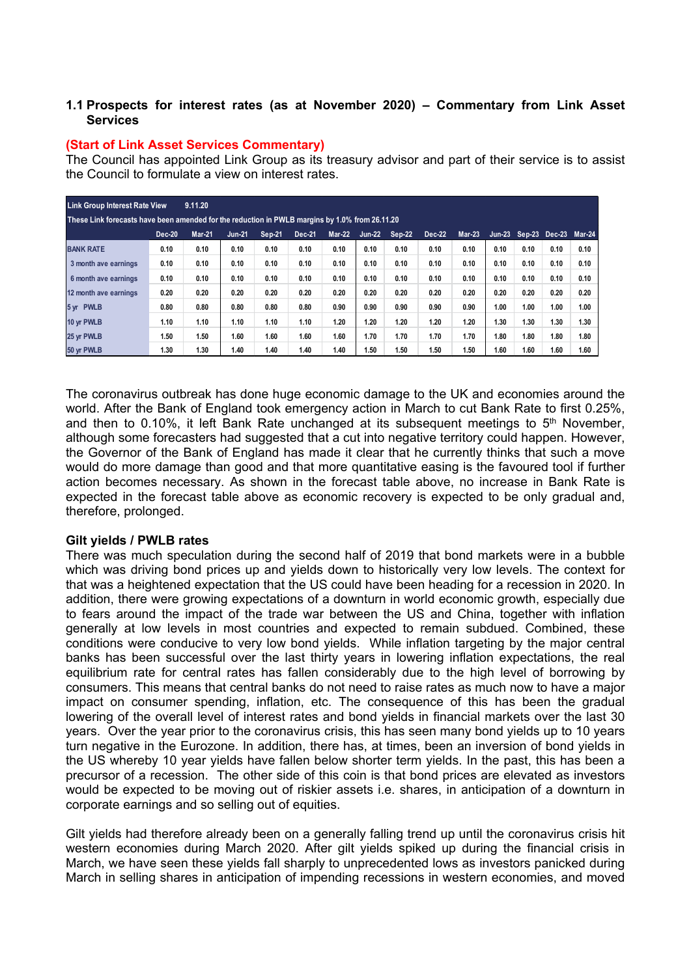## **1.1 Prospects for interest rates (as at November 2020) – Commentary from Link Asset Services**

### **(Start of Link Asset Services Commentary)**

The Council has appointed Link Group as its treasury advisor and part of their service is to assist the Council to formulate a view on interest rates.

| <b>Link Group Interest Rate View</b>                                                           |               | 9.11.20       |               |        |        |               |               |               |               |          |      |      |                             |      |
|------------------------------------------------------------------------------------------------|---------------|---------------|---------------|--------|--------|---------------|---------------|---------------|---------------|----------|------|------|-----------------------------|------|
| These Link forecasts have been amended for the reduction in PWLB margins by 1.0% from 26.11.20 |               |               |               |        |        |               |               |               |               |          |      |      |                             |      |
|                                                                                                | <b>Dec-20</b> | <b>Mar-21</b> | <b>Jun-21</b> | Sep-21 | Dec-21 | <b>Mar-22</b> | <b>Jun-22</b> | <b>Sep-22</b> | <b>Dec-22</b> | $Mar-23$ |      |      | Jun-23 Sep-23 Dec-23 Mar-24 |      |
| <b>BANK RATE</b>                                                                               | 0.10          | 0.10          | 0.10          | 0.10   | 0.10   | 0.10          | 0.10          | 0.10          | 0.10          | 0.10     | 0.10 | 0.10 | 0.10                        | 0.10 |
| 3 month ave earnings                                                                           | 0.10          | 0.10          | 0.10          | 0.10   | 0.10   | 0.10          | 0.10          | 0.10          | 0.10          | 0.10     | 0.10 | 0.10 | 0.10                        | 0.10 |
| 6 month ave earnings                                                                           | 0.10          | 0.10          | 0.10          | 0.10   | 0.10   | 0.10          | 0.10          | 0.10          | 0.10          | 0.10     | 0.10 | 0.10 | 0.10                        | 0.10 |
| 12 month ave earnings                                                                          | 0.20          | 0.20          | 0.20          | 0.20   | 0.20   | 0.20          | 0.20          | 0.20          | 0.20          | 0.20     | 0.20 | 0.20 | 0.20                        | 0.20 |
| 5 yr PWLB                                                                                      | 0.80          | 0.80          | 0.80          | 0.80   | 0.80   | 0.90          | 0.90          | 0.90          | 0.90          | 0.90     | 1.00 | 1.00 | 1.00                        | 1.00 |
| 10 yr PWLB                                                                                     | 1.10          | 1.10          | 1.10          | 1.10   | 1.10   | 1.20          | 1.20          | 1.20          | 1.20          | 1.20     | 1.30 | 1.30 | 1.30                        | 1.30 |
| 25 yr PWLB                                                                                     | 1.50          | 1.50          | 1.60          | 1.60   | 1.60   | 1.60          | 1.70          | 1.70          | 1.70          | 1.70     | 1.80 | 1.80 | 1.80                        | 1.80 |
| 50 yr PWLB                                                                                     | 1.30          | 1.30          | 1.40          | 1.40   | 1.40   | 1.40          | 1.50          | 1.50          | 1.50          | 1.50     | 1.60 | 1.60 | 1.60                        | 1.60 |

The coronavirus outbreak has done huge economic damage to the UK and economies around the world. After the Bank of England took emergency action in March to cut Bank Rate to first 0.25%, and then to 0.10%, it left Bank Rate unchanged at its subsequent meetings to 5<sup>th</sup> November, although some forecasters had suggested that a cut into negative territory could happen. However, the Governor of the Bank of England has made it clear that he currently thinks that such a move would do more damage than good and that more quantitative easing is the favoured tool if further action becomes necessary. As shown in the forecast table above, no increase in Bank Rate is expected in the forecast table above as economic recovery is expected to be only gradual and, therefore, prolonged.

### **Gilt yields / PWLB rates**

There was much speculation during the second half of 2019 that bond markets were in a bubble which was driving bond prices up and yields down to historically very low levels. The context for that was a heightened expectation that the US could have been heading for a recession in 2020. In addition, there were growing expectations of a downturn in world economic growth, especially due to fears around the impact of the trade war between the US and China, together with inflation generally at low levels in most countries and expected to remain subdued. Combined, these conditions were conducive to very low bond yields. While inflation targeting by the major central banks has been successful over the last thirty years in lowering inflation expectations, the real equilibrium rate for central rates has fallen considerably due to the high level of borrowing by consumers. This means that central banks do not need to raise rates as much now to have a major impact on consumer spending, inflation, etc. The consequence of this has been the gradual lowering of the overall level of interest rates and bond yields in financial markets over the last 30 years. Over the year prior to the coronavirus crisis, this has seen many bond yields up to 10 years turn negative in the Eurozone. In addition, there has, at times, been an inversion of bond yields in the US whereby 10 year yields have fallen below shorter term yields. In the past, this has been a precursor of a recession. The other side of this coin is that bond prices are elevated as investors would be expected to be moving out of riskier assets i.e. shares, in anticipation of a downturn in corporate earnings and so selling out of equities.

Gilt yields had therefore already been on a generally falling trend up until the coronavirus crisis hit western economies during March 2020. After gilt yields spiked up during the financial crisis in March, we have seen these yields fall sharply to unprecedented lows as investors panicked during March in selling shares in anticipation of impending recessions in western economies, and moved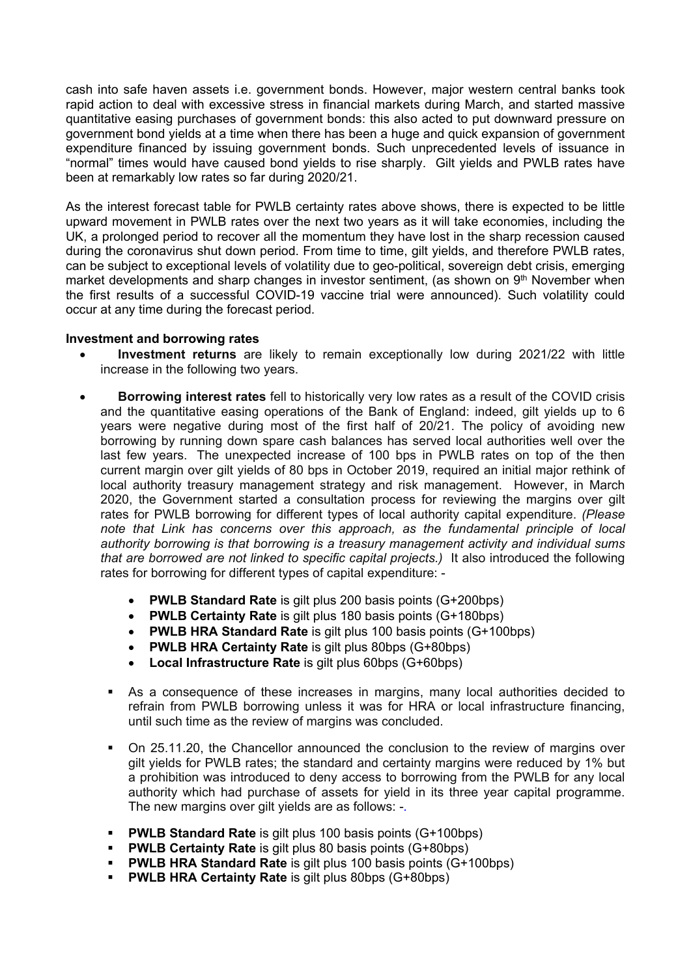cash into safe haven assets i.e. government bonds. However, major western central banks took rapid action to deal with excessive stress in financial markets during March, and started massive quantitative easing purchases of government bonds: this also acted to put downward pressure on government bond yields at a time when there has been a huge and quick expansion of government expenditure financed by issuing government bonds. Such unprecedented levels of issuance in "normal" times would have caused bond yields to rise sharply. Gilt yields and PWLB rates have been at remarkably low rates so far during 2020/21.

As the interest forecast table for PWLB certainty rates above shows, there is expected to be little upward movement in PWLB rates over the next two years as it will take economies, including the UK, a prolonged period to recover all the momentum they have lost in the sharp recession caused during the coronavirus shut down period. From time to time, gilt yields, and therefore PWLB rates, can be subject to exceptional levels of volatility due to geo-political, sovereign debt crisis, emerging market developments and sharp changes in investor sentiment, (as shown on 9<sup>th</sup> November when the first results of a successful COVID-19 vaccine trial were announced). Such volatility could occur at any time during the forecast period.

### **Investment and borrowing rates**

- **Investment returns** are likely to remain exceptionally low during 2021/22 with little increase in the following two years.
- **Borrowing interest rates** fell to historically very low rates as a result of the COVID crisis and the quantitative easing operations of the Bank of England: indeed, gilt yields up to 6 years were negative during most of the first half of 20/21. The policy of avoiding new borrowing by running down spare cash balances has served local authorities well over the last few years. The unexpected increase of 100 bps in PWLB rates on top of the then current margin over gilt yields of 80 bps in October 2019, required an initial major rethink of local authority treasury management strategy and risk management. However, in March 2020, the Government started a consultation process for reviewing the margins over gilt rates for PWLB borrowing for different types of local authority capital expenditure. *(Please note that Link has concerns over this approach, as the fundamental principle of local authority borrowing is that borrowing is a treasury management activity and individual sums that are borrowed are not linked to specific capital projects.)* It also introduced the following rates for borrowing for different types of capital expenditure: -
	- **PWLB Standard Rate** is gilt plus 200 basis points (G+200bps)
	- **PWLB Certainty Rate** is gilt plus 180 basis points (G+180bps)
	- **PWLB HRA Standard Rate** is gilt plus 100 basis points (G+100bps)
	- **PWLB HRA Certainty Rate** is gilt plus 80bps (G+80bps)
	- **Local Infrastructure Rate** is gilt plus 60bps (G+60bps)
	- As a consequence of these increases in margins, many local authorities decided to refrain from PWLB borrowing unless it was for HRA or local infrastructure financing, until such time as the review of margins was concluded.
	- On 25.11.20, the Chancellor announced the conclusion to the review of margins over gilt yields for PWLB rates; the standard and certainty margins were reduced by 1% but a prohibition was introduced to deny access to borrowing from the PWLB for any local authority which had purchase of assets for yield in its three year capital programme. The new margins over gilt yields are as follows: -*.*
	- **PWLB Standard Rate** is gilt plus 100 basis points (G+100bps)
	- **PWLB Certainty Rate** is gilt plus 80 basis points (G+80bps)
	- **PWLB HRA Standard Rate** is gilt plus 100 basis points (G+100bps)
	- **PWLB HRA Certainty Rate** is gilt plus 80bps (G+80bps)